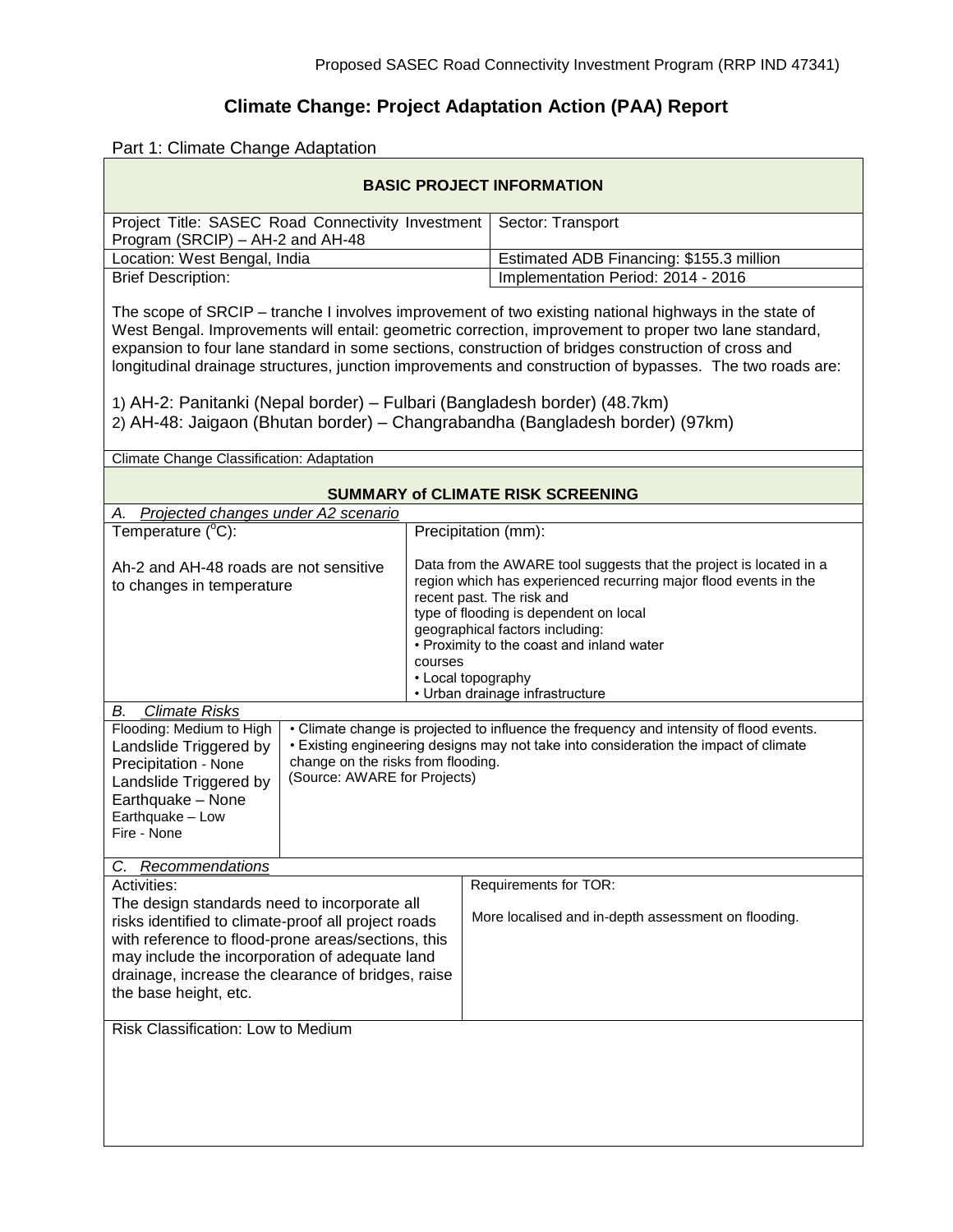## **Climate Change: Project Adaptation Action (PAA) Report**

## Part 1: Climate Change Adaptation

| <b>BASIC PROJECT INFORMATION</b>                                                                                                                                                                                                                                                                                                                                                                                                                                                                                                                                                              |                                                                                                                                                                                                                                                       |                                                                                                                                                                                                                                                                                                                     |
|-----------------------------------------------------------------------------------------------------------------------------------------------------------------------------------------------------------------------------------------------------------------------------------------------------------------------------------------------------------------------------------------------------------------------------------------------------------------------------------------------------------------------------------------------------------------------------------------------|-------------------------------------------------------------------------------------------------------------------------------------------------------------------------------------------------------------------------------------------------------|---------------------------------------------------------------------------------------------------------------------------------------------------------------------------------------------------------------------------------------------------------------------------------------------------------------------|
| Project Title: SASEC Road Connectivity Investment<br>Program (SRCIP) – AH-2 and AH-48                                                                                                                                                                                                                                                                                                                                                                                                                                                                                                         |                                                                                                                                                                                                                                                       | Sector: Transport                                                                                                                                                                                                                                                                                                   |
| Location: West Bengal, India                                                                                                                                                                                                                                                                                                                                                                                                                                                                                                                                                                  |                                                                                                                                                                                                                                                       | Estimated ADB Financing: \$155.3 million                                                                                                                                                                                                                                                                            |
| <b>Brief Description:</b>                                                                                                                                                                                                                                                                                                                                                                                                                                                                                                                                                                     |                                                                                                                                                                                                                                                       | Implementation Period: 2014 - 2016                                                                                                                                                                                                                                                                                  |
| The scope of SRCIP – tranche I involves improvement of two existing national highways in the state of<br>West Bengal. Improvements will entail: geometric correction, improvement to proper two lane standard,<br>expansion to four lane standard in some sections, construction of bridges construction of cross and<br>longitudinal drainage structures, junction improvements and construction of bypasses. The two roads are:<br>1) AH-2: Panitanki (Nepal border) – Fulbari (Bangladesh border) (48.7km)<br>2) AH-48: Jaigaon (Bhutan border) – Changrabandha (Bangladesh border) (97km) |                                                                                                                                                                                                                                                       |                                                                                                                                                                                                                                                                                                                     |
| Climate Change Classification: Adaptation                                                                                                                                                                                                                                                                                                                                                                                                                                                                                                                                                     |                                                                                                                                                                                                                                                       |                                                                                                                                                                                                                                                                                                                     |
|                                                                                                                                                                                                                                                                                                                                                                                                                                                                                                                                                                                               |                                                                                                                                                                                                                                                       |                                                                                                                                                                                                                                                                                                                     |
| <b>SUMMARY of CLIMATE RISK SCREENING</b>                                                                                                                                                                                                                                                                                                                                                                                                                                                                                                                                                      |                                                                                                                                                                                                                                                       |                                                                                                                                                                                                                                                                                                                     |
| A. Projected changes under A2 scenario                                                                                                                                                                                                                                                                                                                                                                                                                                                                                                                                                        |                                                                                                                                                                                                                                                       |                                                                                                                                                                                                                                                                                                                     |
| Temperature $(^{\circ}C)$ :                                                                                                                                                                                                                                                                                                                                                                                                                                                                                                                                                                   |                                                                                                                                                                                                                                                       | Precipitation (mm):                                                                                                                                                                                                                                                                                                 |
| Ah-2 and AH-48 roads are not sensitive<br>to changes in temperature<br>courses                                                                                                                                                                                                                                                                                                                                                                                                                                                                                                                |                                                                                                                                                                                                                                                       | Data from the AWARE tool suggests that the project is located in a<br>region which has experienced recurring major flood events in the<br>recent past. The risk and<br>type of flooding is dependent on local<br>geographical factors including:<br>• Proximity to the coast and inland water<br>• Local topography |
| • Urban drainage infrastructure<br>В.<br><b>Climate Risks</b>                                                                                                                                                                                                                                                                                                                                                                                                                                                                                                                                 |                                                                                                                                                                                                                                                       |                                                                                                                                                                                                                                                                                                                     |
| Flooding: Medium to High<br>Landslide Triggered by<br>Precipitation - None<br>Landslide Triggered by<br>Earthquake - None<br>Earthquake - Low<br>Fire - None                                                                                                                                                                                                                                                                                                                                                                                                                                  | • Climate change is projected to influence the frequency and intensity of flood events.<br>• Existing engineering designs may not take into consideration the impact of climate<br>change on the risks from flooding.<br>(Source: AWARE for Projects) |                                                                                                                                                                                                                                                                                                                     |
| <b>Recommendations</b><br>C.                                                                                                                                                                                                                                                                                                                                                                                                                                                                                                                                                                  |                                                                                                                                                                                                                                                       |                                                                                                                                                                                                                                                                                                                     |
| Activities:<br>The design standards need to incorporate all<br>risks identified to climate-proof all project roads<br>with reference to flood-prone areas/sections, this<br>may include the incorporation of adequate land<br>drainage, increase the clearance of bridges, raise<br>the base height, etc.                                                                                                                                                                                                                                                                                     |                                                                                                                                                                                                                                                       | Requirements for TOR:<br>More localised and in-depth assessment on flooding.                                                                                                                                                                                                                                        |
| Risk Classification: Low to Medium                                                                                                                                                                                                                                                                                                                                                                                                                                                                                                                                                            |                                                                                                                                                                                                                                                       |                                                                                                                                                                                                                                                                                                                     |